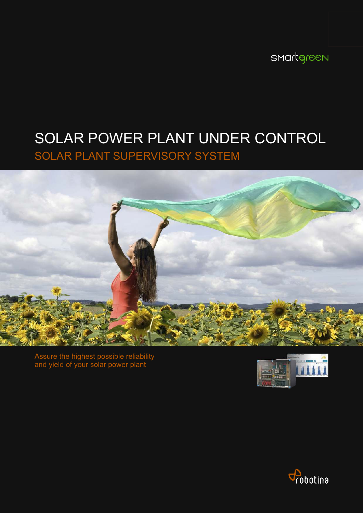smartgreen

# SOLAR POWER PLANT UNDER CONTROL

SOLAR PLANT SUPERVISORY SYSTEM



Assure the highest possible reliability and yield of your solar power plant



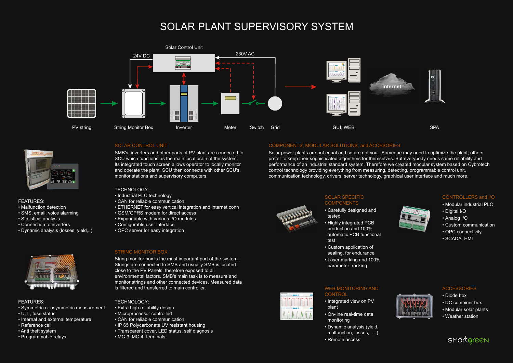# SOLAR PLANT SUPERVISORY SYSTEM

### SOLAR CONTROL UNIT

SMB's, inverters and other parts of PV plant are connected to SCU which functions as the main local brain of the system. Its integrated touch screen allows operator to locally monitor and operate the plant. SCU then connects with other SCU's, monitor stations and supervisory computers.

- Diode box
- DC combiner box
- Modular solar plants
- Weather station



### WEB MONITORING AND **CONTROL**

#### CONTROLLERS and I/O

- Modular industrial PLC
- Digital I/O
- Analog I/O
- Custom communication
- OPC connectivity
- SCADA, HMI



## **ACCESSORIES**

#### SOLAR SPECIFIC COMPONENTS

- Carefully designed and tested
- Highly integrated PCB production and 100% automatic PCB functional test
- Custom application of sealing, for endurance
- Laser marking and 100% parameter tracking

- Integrated view on PV plant
- On-line real-time data monitoring
- Dynamic analysis (yield, malfunction, losses, …)
- Remote access



String monitor box is the most important part of the system. Strings are connected to SMB and usually SMB is located close to the PV Panels, therefore exposed to all environmental factors. SMB's main task is to measure and monitor strings and other connected devices. Measured data is filtered and transferred to main controller.

# COMPONENTS, MODULAR SOLUTIONS, and ACCESORIES

- Industrial PLC technology
- CAN for reliable communication
- ETHERNET for easy vertical integration and internet conn
- GSM/GPRS modem for direct access
- Expandable with various I/O modules
- Configurable user interface
- OPC server for easy integration

Solar power plants are not equal and so are not you. Someone may need to optimize the plant; others prefer to keep their sophisticated algorithms for themselves. But everybody needs same reliability and performance of an industrial standard system. Therefore we created modular system based on Cybrotech control technology providing everything from measuring, detecting, programmable control unit, communication technology, drivers, server technology, graphical user interface and much more.

#### STRING MONITOR BOX

#### TECHNOLOGY:

#### TECHNOLOGY:

- Extra high reliability design
- Microprocessor controlled
- CAN for reliable communication
- IP 65 Polycarbonate UV resistant housing
- Transparent cover, LED status, self diagnosis
- MC-3, MC-4, terminals

# FEATURES:

- Malfunction detection
- SMS, email, voice alarming
- Statistical analysis
- Connection to inverters
- Dynamic analysis (losses, yield,..)



# FEATURES:

- Symmetric or asymmetric measurement
- U, I , fuse status
- Internal and external temperature
- Reference cell
- Anti theft system
- Programmable relays